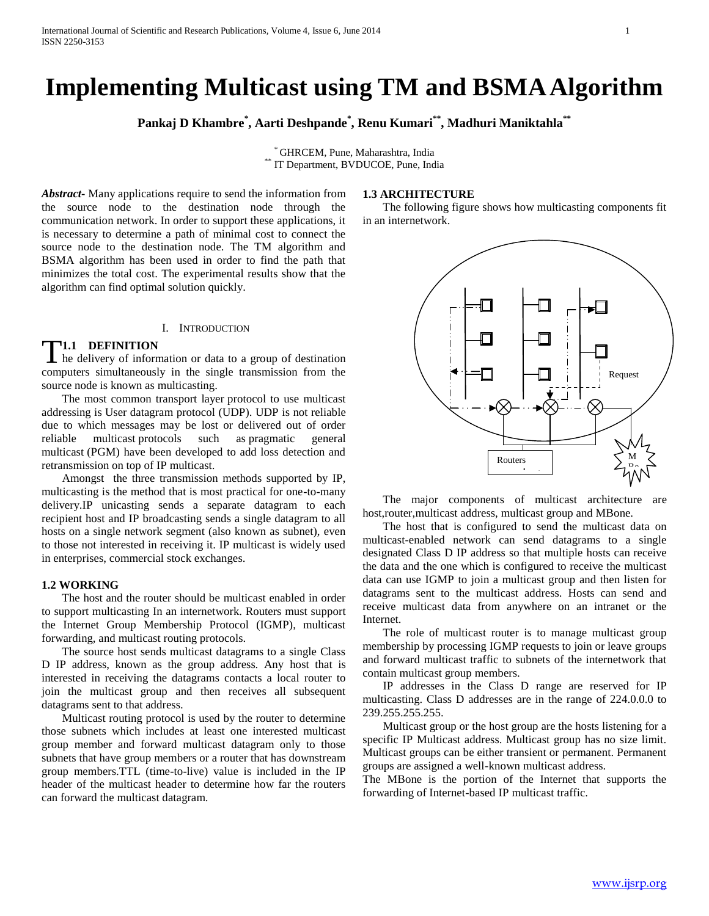# **Implementing Multicast using TM and BSMAAlgorithm**

**Pankaj D Khambre\* , Aarti Deshpande\* , Renu Kumari\*\* , Madhuri Maniktahla\*\***

\* GHRCEM, Pune, Maharashtra, India \*\* IT Department, BVDUCOE, Pune, India

*Abstract***-** Many applications require to send the information from the source node to the destination node through the communication network. In order to support these applications, it is necessary to determine a path of minimal cost to connect the source node to the destination node. The TM algorithm and BSMA algorithm has been used in order to find the path that minimizes the total cost. The experimental results show that the algorithm can find optimal solution quickly.

## I. INTRODUCTION

# **1.1 DEFINITION**

T1.1 DEFINITION<br>he delivery of information or data to a group of destination computers simultaneously in the single transmission from the source node is known as multicasting.

 The most common transport layer protocol to use multicast addressing is User datagram protocol (UDP). UDP is not reliable due to which messages may be lost or delivered out of order reliable multicast protocols such as pragmatic general multicast (PGM) have been developed to add loss detection and retransmission on top of IP multicast.

 Amongst the three transmission methods supported by IP, multicasting is the method that is most practical for one-to-many delivery.IP unicasting sends a separate datagram to each recipient host and IP broadcasting sends a single datagram to all hosts on a single network segment (also known as subnet), even to those not interested in receiving it. IP multicast is widely used in enterprises, commercial stock exchanges.

# **1.2 WORKING**

 The host and the router should be multicast enabled in order to support multicasting In an internetwork. Routers must support the Internet Group Membership Protocol (IGMP), multicast forwarding, and multicast routing protocols.

 The source host sends multicast datagrams to a single Class D IP address, known as the group address. Any host that is interested in receiving the datagrams contacts a local router to join the multicast group and then receives all subsequent datagrams sent to that address.

 Multicast routing protocol is used by the router to determine those subnets which includes at least one interested multicast group member and forward multicast datagram only to those subnets that have group members or a router that has downstream group members.TTL (time-to-live) value is included in the IP header of the multicast header to determine how far the routers can forward the multicast datagram.

# **1.3 ARCHITECTURE**

 The following figure shows how multicasting components fit in an internetwork.



 The major components of multicast architecture are host,router,multicast address, multicast group and MBone.  $\frac{1}{2}$ 

The host that is configured to send the multicast data on multicast-enabled network can send datagrams to a single designated Class D IP address so that multiple hosts can receive the data and the one which is configured to receive the multicast data can use IGMP to join a multicast group and then listen for datagrams sent to the multicast address. Hosts can send and receive multicast data from anywhere on an intranet or the Internet.

 The role of multicast router is to manage multicast group membership by processing IGMP requests to join or leave groups and forward multicast traffic to subnets of the internetwork that contain multicast group members.

 IP addresses in the Class D range are reserved for IP multicasting. Class D addresses are in the range of 224.0.0.0 to 239.255.255.255.

 Multicast group or the host group are the hosts listening for a specific IP Multicast address. Multicast group has no size limit. Multicast groups can be either transient or permanent. Permanent groups are assigned a well-known multicast address.

The MBone is the portion of the Internet that supports the forwarding of Internet-based IP multicast traffic.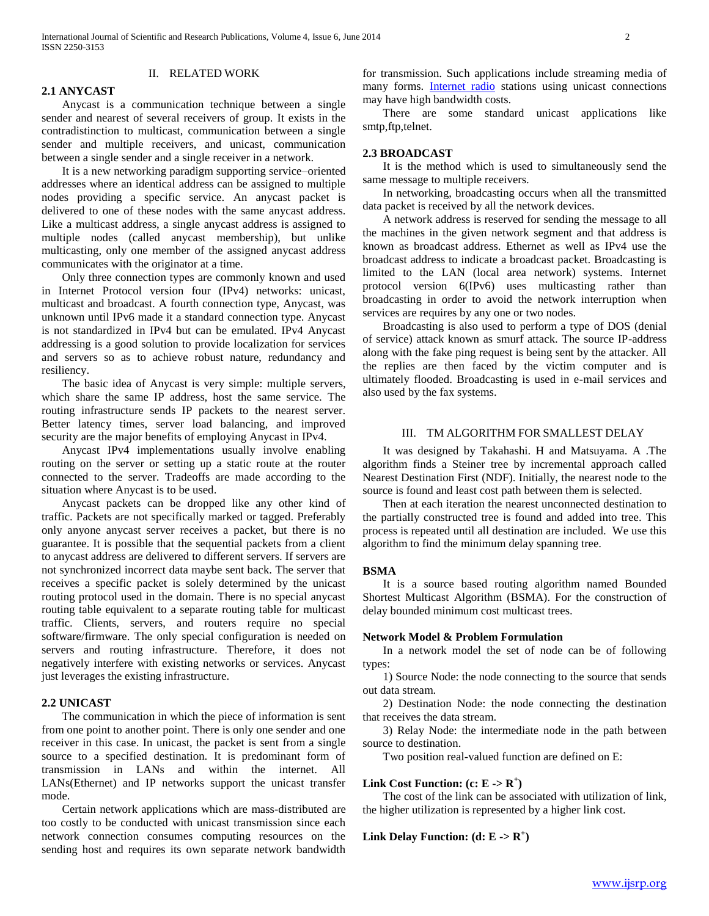# II. RELATED WORK

**2.1 ANYCAST**

 Anycast is a communication technique between a single sender and nearest of several receivers of group. It exists in the contradistinction to multicast, communication between a single sender and multiple receivers, and unicast, communication between a single sender and a single receiver in a network.

 It is a new networking paradigm supporting service–oriented addresses where an identical address can be assigned to multiple nodes providing a specific service. An anycast packet is delivered to one of these nodes with the same anycast address. Like a multicast address, a single anycast address is assigned to multiple nodes (called anycast membership), but unlike multicasting, only one member of the assigned anycast address communicates with the originator at a time.

 Only three connection types are commonly known and used in Internet Protocol version four (IPv4) networks: unicast, multicast and broadcast. A fourth connection type, Anycast, was unknown until IPv6 made it a standard connection type. Anycast is not standardized in IPv4 but can be emulated. IPv4 Anycast addressing is a good solution to provide localization for services and servers so as to achieve robust nature, redundancy and resiliency.

 The basic idea of Anycast is very simple: multiple servers, which share the same IP address, host the same service. The routing infrastructure sends IP packets to the nearest server. Better latency times, server load balancing, and improved security are the major benefits of employing Anycast in IPv4.

 Anycast IPv4 implementations usually involve enabling routing on the server or setting up a static route at the router connected to the server. Tradeoffs are made according to the situation where Anycast is to be used.

 Anycast packets can be dropped like any other kind of traffic. Packets are not specifically marked or tagged. Preferably only anyone anycast server receives a packet, but there is no guarantee. It is possible that the sequential packets from a client to anycast address are delivered to different servers. If servers are not synchronized incorrect data maybe sent back. The server that receives a specific packet is solely determined by the unicast routing protocol used in the domain. There is no special anycast routing table equivalent to a separate routing table for multicast traffic. Clients, servers, and routers require no special software/firmware. The only special configuration is needed on servers and routing infrastructure. Therefore, it does not negatively interfere with existing networks or services. Anycast just leverages the existing infrastructure.

## **2.2 UNICAST**

 The communication in which the piece of information is sent from one point to another point. There is only one sender and one receiver in this case. In unicast, the packet is sent from a single source to a specified destination. It is predominant form of transmission in LANs and within the internet. All LANs(Ethernet) and IP networks support the unicast transfer mode.

 Certain network applications which are mass-distributed are too costly to be conducted with unicast transmission since each network connection consumes computing resources on the sending host and requires its own separate network bandwidth

for transmission. Such applications include streaming media of many forms. **[Internet radio](http://en.wikipedia.org/wiki/Internet_radio)** stations using unicast connections may have high bandwidth costs.

 There are some standard unicast applications like smtp,ftp,telnet.

# **2.3 BROADCAST**

 It is the method which is used to simultaneously send the same message to multiple receivers.

 In networking, broadcasting occurs when all the transmitted data packet is received by all the network devices.

 A network address is reserved for sending the message to all the machines in the given network segment and that address is known as broadcast address. Ethernet as well as IPv4 use the broadcast address to indicate a broadcast packet. Broadcasting is limited to the LAN (local area network) systems. Internet protocol version 6(IPv6) uses multicasting rather than broadcasting in order to avoid the network interruption when services are requires by any one or two nodes.

 Broadcasting is also used to perform a type of DOS (denial of service) attack known as smurf attack. The source IP-address along with the fake ping request is being sent by the attacker. All the replies are then faced by the victim computer and is ultimately flooded. Broadcasting is used in e-mail services and also used by the fax systems.

## III. TM ALGORITHM FOR SMALLEST DELAY

 It was designed by Takahashi. H and Matsuyama. A .The algorithm finds a Steiner tree by incremental approach called Nearest Destination First (NDF). Initially, the nearest node to the source is found and least cost path between them is selected.

 Then at each iteration the nearest unconnected destination to the partially constructed tree is found and added into tree. This process is repeated until all destination are included. We use this algorithm to find the minimum delay spanning tree.

#### **BSMA**

 It is a source based routing algorithm named Bounded Shortest Multicast Algorithm (BSMA). For the construction of delay bounded minimum cost multicast trees.

## **Network Model & Problem Formulation**

 In a network model the set of node can be of following types:

 1) Source Node: the node connecting to the source that sends out data stream.

 2) Destination Node: the node connecting the destination that receives the data stream.

 3) Relay Node: the intermediate node in the path between source to destination.

Two position real-valued function are defined on E:

# **Link Cost Function:** (c:  $E \rightarrow R^+$ )

 The cost of the link can be associated with utilization of link, the higher utilization is represented by a higher link cost.

**Link Delay Function:**  $(d: E \rightarrow R^+)$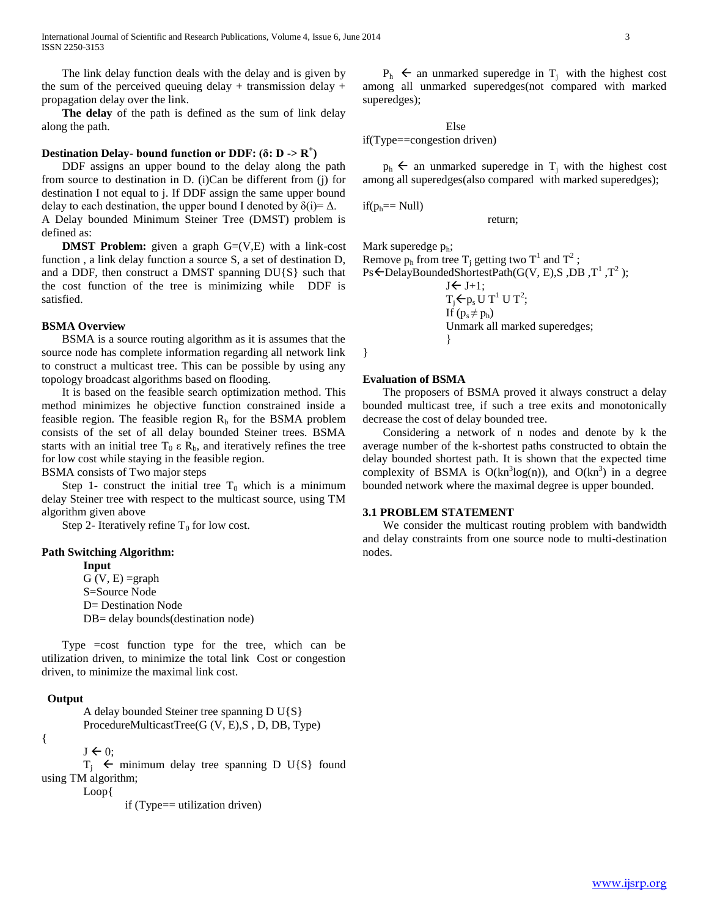International Journal of Scientific and Research Publications, Volume 4, Issue 6, June 2014 3 ISSN 2250-3153

 The link delay function deals with the delay and is given by the sum of the perceived queuing delay + transmission delay + propagation delay over the link.

 **The delay** of the path is defined as the sum of link delay along the path.

# **Destination Delay- bound function or DDF: (δ: D -> R<sup>+</sup> )**

 DDF assigns an upper bound to the delay along the path from source to destination in D. (i)Can be different from (j) for destination I not equal to j. If DDF assign the same upper bound delay to each destination, the upper bound I denoted by  $\delta(i) = \Delta$ . A Delay bounded Minimum Steiner Tree (DMST) problem is defined as:

**DMST Problem:** given a graph G=(V,E) with a link-cost function , a link delay function a source S, a set of destination D, and a DDF, then construct a DMST spanning  $DU{S}$  such that the cost function of the tree is minimizing while DDF is satisfied.

### **BSMA Overview**

 BSMA is a source routing algorithm as it is assumes that the source node has complete information regarding all network link to construct a multicast tree. This can be possible by using any topology broadcast algorithms based on flooding.

 It is based on the feasible search optimization method. This method minimizes he objective function constrained inside a feasible region. The feasible region  $R<sub>b</sub>$  for the BSMA problem consists of the set of all delay bounded Steiner trees. BSMA starts with an initial tree  $T_0 \varepsilon R_b$ , and iteratively refines the tree for low cost while staying in the feasible region.

BSMA consists of Two major steps

Step 1- construct the initial tree  $T_0$  which is a minimum delay Steiner tree with respect to the multicast source, using TM algorithm given above

Step 2- Iteratively refine  $T_0$  for low cost.

## **Path Switching Algorithm:**

**Input**  $G (V, E) = graph$ S=Source Node D= Destination Node DB= delay bounds (destination node)

 Type =cost function type for the tree, which can be utilization driven, to minimize the total link Cost or congestion driven, to minimize the maximal link cost.

## **Output**

A delay bounded Steiner tree spanning D U{S} ProcedureMulticastTree(G (V, E),S , D, DB, Type)

{

```
J \leftarrow 0;
```
 $T_i$   $\leftarrow$  minimum delay tree spanning D U{S} found using TM algorithm;

Loop{

if (Type== utilization driven)

 $P_h$   $\leftarrow$  an unmarked superedge in  $T_i$  with the highest cost among all unmarked superedges(not compared with marked superedges);

Else if(Type==congestion driven)

 $p_h$   $\leftarrow$  an unmarked superedge in T<sub>i</sub> with the highest cost among all superedges(also compared with marked superedges);

$$
if(p_h == Null)
$$

return;

Mark superedge  $p_h$ ; Remove  $p_h$  from tree T<sub>j</sub> getting two T<sup>1</sup> and T<sup>2</sup>;  $Ps \leftarrow$ DelayBoundedShortestPath(G(V, E),S, DB, T<sup>1</sup>, T<sup>2</sup>);

> $J \leftarrow J+1;$  $T_j$ ← $p_s$ U T<sup>1</sup> U T<sup>2</sup>; If  $(p_s \neq p_h)$ Unmark all marked superedges; }

}

## **Evaluation of BSMA**

 The proposers of BSMA proved it always construct a delay bounded multicast tree, if such a tree exits and monotonically decrease the cost of delay bounded tree.

 Considering a network of n nodes and denote by k the average number of the k-shortest paths constructed to obtain the delay bounded shortest path. It is shown that the expected time complexity of BSMA is  $O(kn^3log(n))$ , and  $O(kn^3)$  in a degree bounded network where the maximal degree is upper bounded.

#### **3.1 PROBLEM STATEMENT**

 We consider the multicast routing problem with bandwidth and delay constraints from one source node to multi-destination nodes.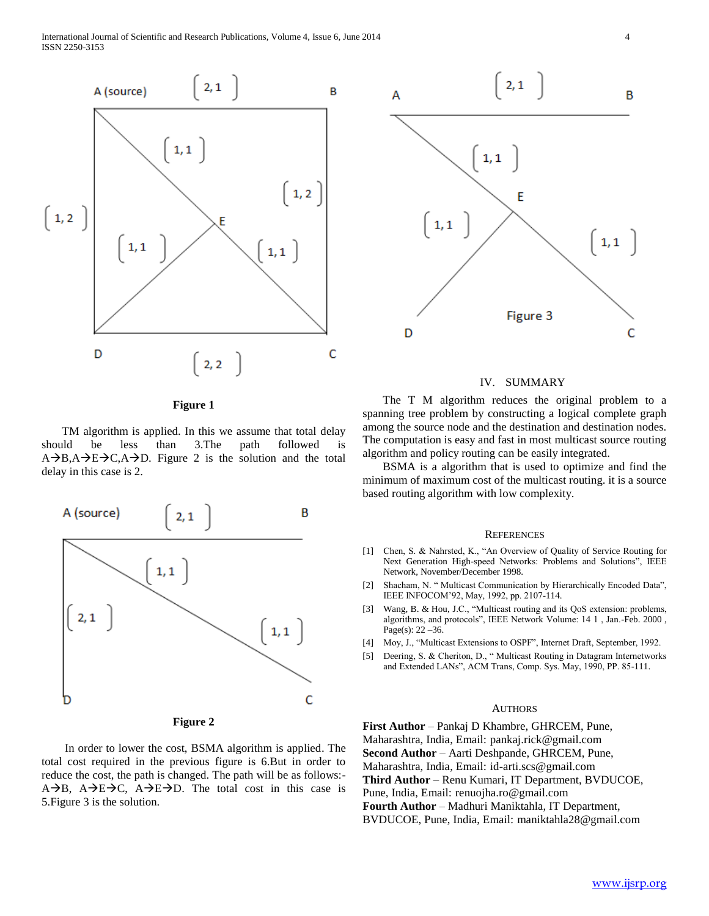International Journal of Scientific and Research Publications, Volume 4, Issue 6, June 2014 4 ISSN 2250-3153





 TM algorithm is applied. In this we assume that total delay should be less than 3.The path followed is  $A\rightarrow B, A\rightarrow E\rightarrow C, A\rightarrow D$ . Figure 2 is the solution and the total delay in this case is 2.



**Figure 2**

 In order to lower the cost, BSMA algorithm is applied. The total cost required in the previous figure is 6.But in order to reduce the cost, the path is changed. The path will be as follows:-  $A\rightarrow B$ ,  $A\rightarrow E\rightarrow C$ ,  $A\rightarrow E\rightarrow D$ . The total cost in this case is 5.Figure 3 is the solution.



## IV. SUMMARY

 The T M algorithm reduces the original problem to a spanning tree problem by constructing a logical complete graph among the source node and the destination and destination nodes. The computation is easy and fast in most multicast source routing algorithm and policy routing can be easily integrated.

 BSMA is a algorithm that is used to optimize and find the minimum of maximum cost of the multicast routing. it is a source based routing algorithm with low complexity.

## **REFERENCES**

- [1] Chen, S. & Nahrsted, K., "An Overview of Quality of Service Routing for Next Generation High-speed Networks: Problems and Solutions", IEEE Network, November/December 1998.
- [2] Shacham, N. " Multicast Communication by Hierarchically Encoded Data", IEEE INFOCOM'92, May, 1992, pp. 2107-114.
- [3] Wang, B. & Hou, J.C., "Multicast routing and its QoS extension: problems, algorithms, and protocols", IEEE Network Volume: 14 1 , Jan.-Feb. 2000 , Page(s): 22 – 36.
- [4] Moy, J., "Multicast Extensions to OSPF", Internet Draft, September, 1992.
- [5] Deering, S. & Cheriton, D., " Multicast Routing in Datagram Internetworks and Extended LANs", ACM Trans, Comp. Sys. May, 1990, PP. 85-111.

#### **AUTHORS**

**First Author** – Pankaj D Khambre, GHRCEM, Pune, Maharashtra, India, Email: pankaj.rick@gmail.com **Second Author** – Aarti Deshpande, GHRCEM, Pune, Maharashtra, India, Email: id-arti.scs@gmail.com **Third Author** – Renu Kumari, IT Department, BVDUCOE, Pune, India, Email: renuojha.ro@gmail.com **Fourth Author** – Madhuri Maniktahla, IT Department, BVDUCOE, Pune, India, Email: maniktahla28@gmail.com